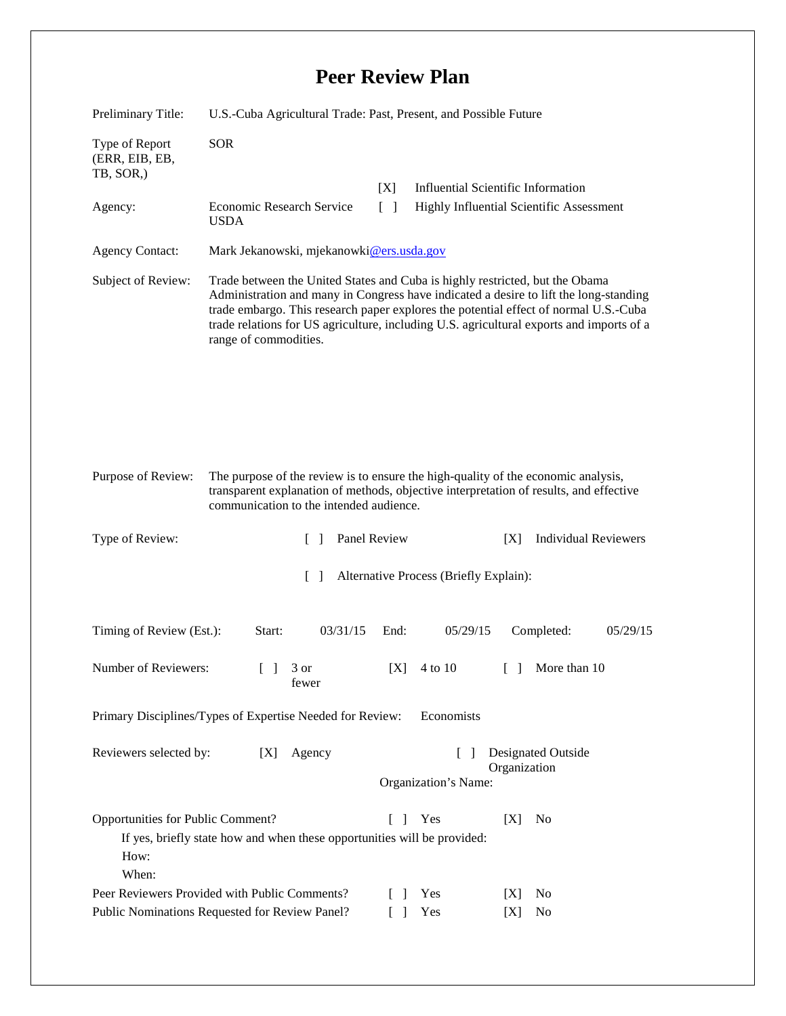## **Peer Review Plan**

| Preliminary Title:                                                                                                                                                                             | U.S.-Cuba Agricultural Trade: Past, Present, and Possible Future                                                                                                                                                                                                                                                                                                                   |                                   |                                           |                                    |
|------------------------------------------------------------------------------------------------------------------------------------------------------------------------------------------------|------------------------------------------------------------------------------------------------------------------------------------------------------------------------------------------------------------------------------------------------------------------------------------------------------------------------------------------------------------------------------------|-----------------------------------|-------------------------------------------|------------------------------------|
| Type of Report<br>(ERR, EIB, EB,<br>TB, SOR,)                                                                                                                                                  | <b>SOR</b>                                                                                                                                                                                                                                                                                                                                                                         |                                   |                                           |                                    |
|                                                                                                                                                                                                |                                                                                                                                                                                                                                                                                                                                                                                    | [X]                               | <b>Influential Scientific Information</b> |                                    |
| Agency:                                                                                                                                                                                        | Economic Research Service<br><b>USDA</b>                                                                                                                                                                                                                                                                                                                                           | $\begin{bmatrix} 1 \end{bmatrix}$ | Highly Influential Scientific Assessment  |                                    |
| <b>Agency Contact:</b>                                                                                                                                                                         | Mark Jekanowski, mjekanowki@ers.usda.gov                                                                                                                                                                                                                                                                                                                                           |                                   |                                           |                                    |
| Subject of Review:                                                                                                                                                                             | Trade between the United States and Cuba is highly restricted, but the Obama<br>Administration and many in Congress have indicated a desire to lift the long-standing<br>trade embargo. This research paper explores the potential effect of normal U.S.-Cuba<br>trade relations for US agriculture, including U.S. agricultural exports and imports of a<br>range of commodities. |                                   |                                           |                                    |
|                                                                                                                                                                                                |                                                                                                                                                                                                                                                                                                                                                                                    |                                   |                                           |                                    |
| Purpose of Review:                                                                                                                                                                             | The purpose of the review is to ensure the high-quality of the economic analysis,<br>transparent explanation of methods, objective interpretation of results, and effective<br>communication to the intended audience.                                                                                                                                                             |                                   |                                           |                                    |
| Type of Review:                                                                                                                                                                                | $\mathbb{R}$                                                                                                                                                                                                                                                                                                                                                                       | Panel Review                      |                                           | <b>Individual Reviewers</b><br>[X] |
| $\Box$<br>Alternative Process (Briefly Explain):                                                                                                                                               |                                                                                                                                                                                                                                                                                                                                                                                    |                                   |                                           |                                    |
| Timing of Review (Est.):                                                                                                                                                                       | 03/31/15<br>Start:                                                                                                                                                                                                                                                                                                                                                                 | End:                              | 05/29/15                                  | Completed:<br>05/29/15             |
| Number of Reviewers:                                                                                                                                                                           | $\begin{bmatrix} 1 & 3 & 0 \\ 0 & 0 & 1 \end{bmatrix}$<br>fewer                                                                                                                                                                                                                                                                                                                    | [X]                               | 4 to 10                                   | More than 10                       |
| Primary Disciplines/Types of Expertise Needed for Review:<br>Economists                                                                                                                        |                                                                                                                                                                                                                                                                                                                                                                                    |                                   |                                           |                                    |
| <b>Designated Outside</b><br>Reviewers selected by:<br>[X]<br>Agency<br>$\Box$<br>Organization                                                                                                 |                                                                                                                                                                                                                                                                                                                                                                                    |                                   |                                           |                                    |
|                                                                                                                                                                                                |                                                                                                                                                                                                                                                                                                                                                                                    |                                   | Organization's Name:                      |                                    |
| Opportunities for Public Comment?<br>[X]<br>Yes<br>N <sub>0</sub><br>$\mathbf{L}$<br>$\mathbf{1}$<br>If yes, briefly state how and when these opportunities will be provided:<br>How:<br>When: |                                                                                                                                                                                                                                                                                                                                                                                    |                                   |                                           |                                    |
| Peer Reviewers Provided with Public Comments?                                                                                                                                                  |                                                                                                                                                                                                                                                                                                                                                                                    |                                   | Yes                                       | N <sub>0</sub><br> X               |
| Public Nominations Requested for Review Panel?                                                                                                                                                 |                                                                                                                                                                                                                                                                                                                                                                                    |                                   | Yes                                       | [X]<br>No                          |